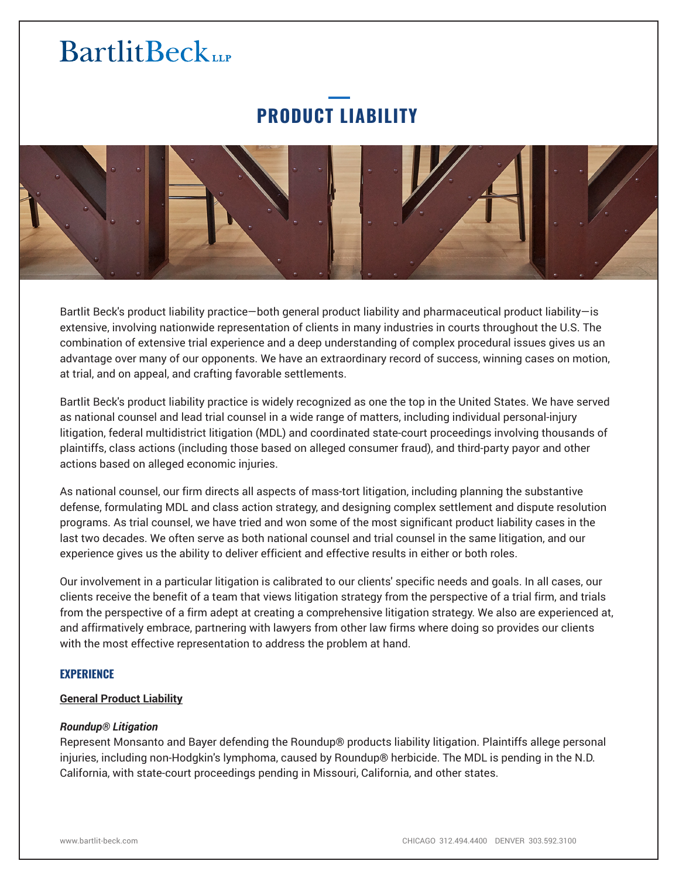# **PRODUCT LIABILITY**



Bartlit Beck's product liability practice—both general product liability and pharmaceutical product liability—is extensive, involving nationwide representation of clients in many industries in courts throughout the U.S. The combination of extensive trial experience and a deep understanding of complex procedural issues gives us an advantage over many of our opponents. We have an extraordinary record of success, winning cases on motion, at trial, and on appeal, and crafting favorable settlements.

Bartlit Beck's product liability practice is widely recognized as one the top in the United States. We have served as national counsel and lead trial counsel in a wide range of matters, including individual personal-injury litigation, federal multidistrict litigation (MDL) and coordinated state-court proceedings involving thousands of plaintiffs, class actions (including those based on alleged consumer fraud), and third-party payor and other actions based on alleged economic injuries.

As national counsel, our firm directs all aspects of mass-tort litigation, including planning the substantive defense, formulating MDL and class action strategy, and designing complex settlement and dispute resolution programs. As trial counsel, we have tried and won some of the most significant product liability cases in the last two decades. We often serve as both national counsel and trial counsel in the same litigation, and our experience gives us the ability to deliver efficient and effective results in either or both roles.

Our involvement in a particular litigation is calibrated to our clients' specific needs and goals. In all cases, our clients receive the benefit of a team that views litigation strategy from the perspective of a trial firm, and trials from the perspective of a firm adept at creating a comprehensive litigation strategy. We also are experienced at, and affirmatively embrace, partnering with lawyers from other law firms where doing so provides our clients with the most effective representation to address the problem at hand.

# **EXPERIENCE**

# **General Product Liability**

#### *Roundup® Litigation*

Represent Monsanto and Bayer defending the Roundup® products liability litigation. Plaintiffs allege personal injuries, including non-Hodgkin's lymphoma, caused by Roundup® herbicide. The MDL is pending in the N.D. California, with state-court proceedings pending in Missouri, California, and other states.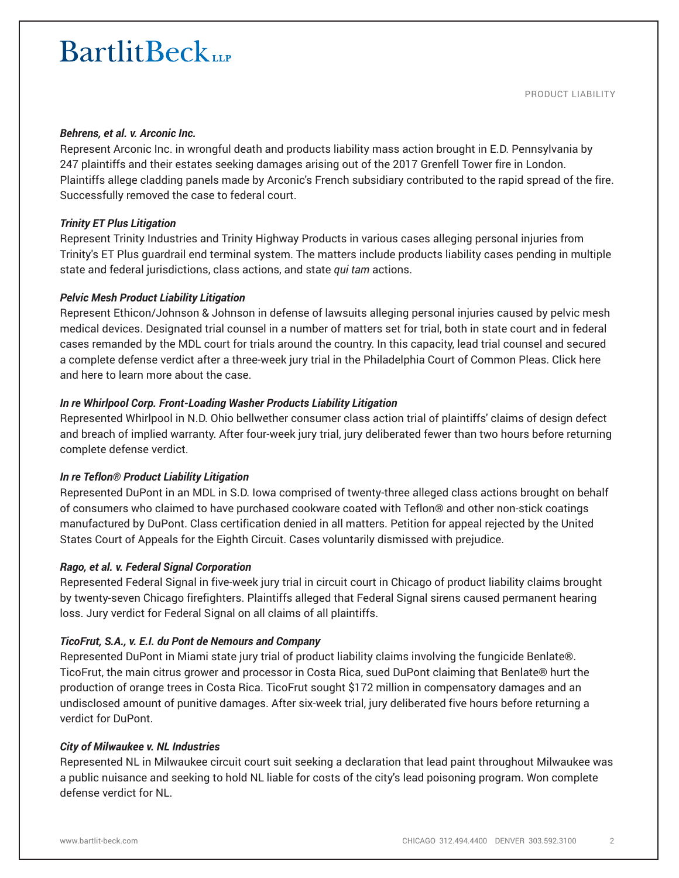#### *Behrens, et al. v. Arconic Inc.*

Represent Arconic Inc. in wrongful death and products liability mass action brought in E.D. Pennsylvania by 247 plaintiffs and their estates seeking damages arising out of the 2017 Grenfell Tower fire in London. Plaintiffs allege cladding panels made by Arconic's French subsidiary contributed to the rapid spread of the fire. Successfully removed the case to federal court.

# *Trinity ET Plus Litigation*

Represent Trinity Industries and Trinity Highway Products in various cases alleging personal injuries from Trinity's ET Plus guardrail end terminal system. The matters include products liability cases pending in multiple state and federal jurisdictions, class actions, and state *qui tam* actions.

# *Pelvic Mesh Product Liability Litigation*

Represent Ethicon/Johnson & Johnson in defense of lawsuits alleging personal injuries caused by pelvic mesh medical devices. Designated trial counsel in a number of matters set for trial, both in state court and in federal cases remanded by the MDL court for trials around the country. In this capacity, lead trial counsel and secured a complete defense verdict after a three-week jury trial in the Philadelphia Court of Common Pleas. Click here and here to learn more about the case.

### *In re Whirlpool Corp. Front-Loading Washer Products Liability Litigation*

Represented Whirlpool in N.D. Ohio bellwether consumer class action trial of plaintiffs' claims of design defect and breach of implied warranty. After four-week jury trial, jury deliberated fewer than two hours before returning complete defense verdict.

#### *In re Teflon® Product Liability Litigation*

Represented DuPont in an MDL in S.D. Iowa comprised of twenty-three alleged class actions brought on behalf of consumers who claimed to have purchased cookware coated with Teflon® and other non-stick coatings manufactured by DuPont. Class certification denied in all matters. Petition for appeal rejected by the United States Court of Appeals for the Eighth Circuit. Cases voluntarily dismissed with prejudice.

#### *Rago, et al. v. Federal Signal Corporation*

Represented Federal Signal in five-week jury trial in circuit court in Chicago of product liability claims brought by twenty-seven Chicago firefighters. Plaintiffs alleged that Federal Signal sirens caused permanent hearing loss. Jury verdict for Federal Signal on all claims of all plaintiffs.

# *TicoFrut, S.A., v. E.I. du Pont de Nemours and Company*

Represented DuPont in Miami state jury trial of product liability claims involving the fungicide Benlate®. TicoFrut, the main citrus grower and processor in Costa Rica, sued DuPont claiming that Benlate® hurt the production of orange trees in Costa Rica. TicoFrut sought \$172 million in compensatory damages and an undisclosed amount of punitive damages. After six-week trial, jury deliberated five hours before returning a verdict for DuPont.

# *City of Milwaukee v. NL Industries*

Represented NL in Milwaukee circuit court suit seeking a declaration that lead paint throughout Milwaukee was a public nuisance and seeking to hold NL liable for costs of the city's lead poisoning program. Won complete defense verdict for NL.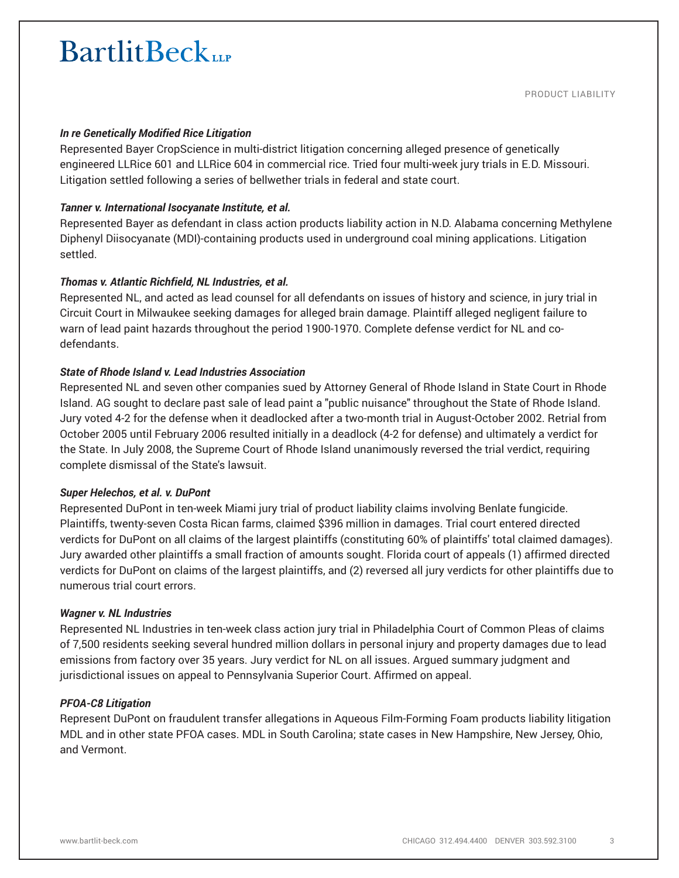#### *In re Genetically Modified Rice Litigation*

Represented Bayer CropScience in multi-district litigation concerning alleged presence of genetically engineered LLRice 601 and LLRice 604 in commercial rice. Tried four multi-week jury trials in E.D. Missouri. Litigation settled following a series of bellwether trials in federal and state court.

# *Tanner v. International Isocyanate Institute, et al.*

Represented Bayer as defendant in class action products liability action in N.D. Alabama concerning Methylene Diphenyl Diisocyanate (MDI)-containing products used in underground coal mining applications. Litigation settled.

# *Thomas v. Atlantic Richfield, NL Industries, et al.*

Represented NL, and acted as lead counsel for all defendants on issues of history and science, in jury trial in Circuit Court in Milwaukee seeking damages for alleged brain damage. Plaintiff alleged negligent failure to warn of lead paint hazards throughout the period 1900-1970. Complete defense verdict for NL and codefendants.

# *State of Rhode Island v. Lead Industries Association*

Represented NL and seven other companies sued by Attorney General of Rhode Island in State Court in Rhode Island. AG sought to declare past sale of lead paint a "public nuisance" throughout the State of Rhode Island. Jury voted 4-2 for the defense when it deadlocked after a two-month trial in August-October 2002. Retrial from October 2005 until February 2006 resulted initially in a deadlock (4-2 for defense) and ultimately a verdict for the State. In July 2008, the Supreme Court of Rhode Island unanimously reversed the trial verdict, requiring complete dismissal of the State's lawsuit.

#### *Super Helechos, et al. v. DuPont*

Represented DuPont in ten-week Miami jury trial of product liability claims involving Benlate fungicide. Plaintiffs, twenty-seven Costa Rican farms, claimed \$396 million in damages. Trial court entered directed verdicts for DuPont on all claims of the largest plaintiffs (constituting 60% of plaintiffs' total claimed damages). Jury awarded other plaintiffs a small fraction of amounts sought. Florida court of appeals (1) affirmed directed verdicts for DuPont on claims of the largest plaintiffs, and (2) reversed all jury verdicts for other plaintiffs due to numerous trial court errors.

#### *Wagner v. NL Industries*

Represented NL Industries in ten-week class action jury trial in Philadelphia Court of Common Pleas of claims of 7,500 residents seeking several hundred million dollars in personal injury and property damages due to lead emissions from factory over 35 years. Jury verdict for NL on all issues. Argued summary judgment and jurisdictional issues on appeal to Pennsylvania Superior Court. Affirmed on appeal.

#### *PFOA-C8 Litigation*

Represent DuPont on fraudulent transfer allegations in Aqueous Film-Forming Foam products liability litigation MDL and in other state PFOA cases. MDL in South Carolina; state cases in New Hampshire, New Jersey, Ohio, and Vermont.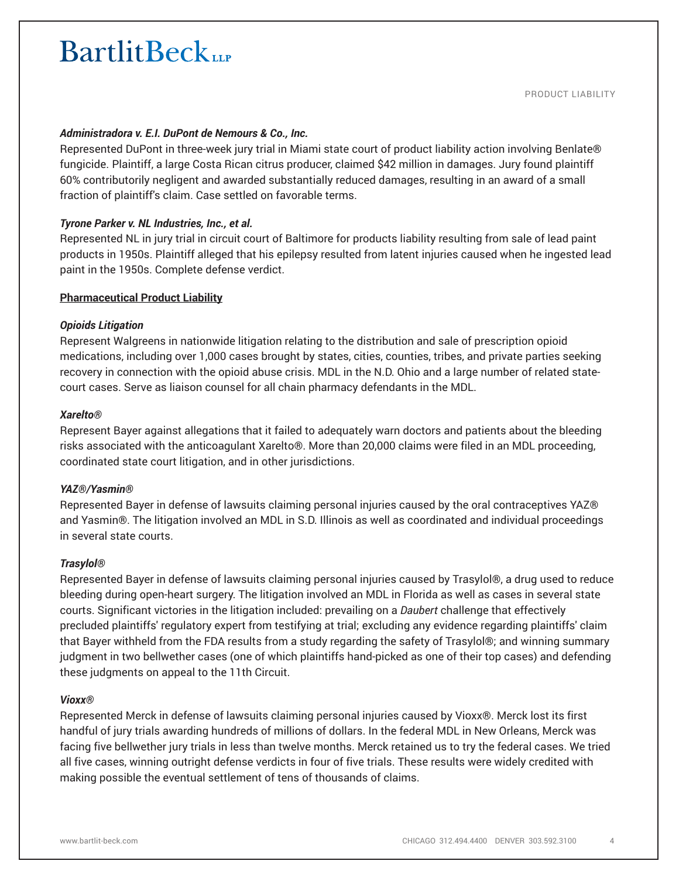### *Administradora v. E.I. DuPont de Nemours & Co., Inc.*

Represented DuPont in three-week jury trial in Miami state court of product liability action involving Benlate® fungicide. Plaintiff, a large Costa Rican citrus producer, claimed \$42 million in damages. Jury found plaintiff 60% contributorily negligent and awarded substantially reduced damages, resulting in an award of a small fraction of plaintiff's claim. Case settled on favorable terms.

# *Tyrone Parker v. NL Industries, Inc., et al.*

Represented NL in jury trial in circuit court of Baltimore for products liability resulting from sale of lead paint products in 1950s. Plaintiff alleged that his epilepsy resulted from latent injuries caused when he ingested lead paint in the 1950s. Complete defense verdict.

### **Pharmaceutical Product Liability**

### *Opioids Litigation*

Represent Walgreens in nationwide litigation relating to the distribution and sale of prescription opioid medications, including over 1,000 cases brought by states, cities, counties, tribes, and private parties seeking recovery in connection with the opioid abuse crisis. MDL in the N.D. Ohio and a large number of related statecourt cases. Serve as liaison counsel for all chain pharmacy defendants in the MDL.

#### *Xarelto®*

Represent Bayer against allegations that it failed to adequately warn doctors and patients about the bleeding risks associated with the anticoagulant Xarelto®. More than 20,000 claims were filed in an MDL proceeding, coordinated state court litigation, and in other jurisdictions.

#### *YAZ®/Yasmin®*

Represented Bayer in defense of lawsuits claiming personal injuries caused by the oral contraceptives YAZ® and Yasmin®. The litigation involved an MDL in S.D. Illinois as well as coordinated and individual proceedings in several state courts.

#### *Trasylol®*

Represented Bayer in defense of lawsuits claiming personal injuries caused by Trasylol®, a drug used to reduce bleeding during open-heart surgery. The litigation involved an MDL in Florida as well as cases in several state courts. Significant victories in the litigation included: prevailing on a *Daubert* challenge that effectively precluded plaintiffs' regulatory expert from testifying at trial; excluding any evidence regarding plaintiffs' claim that Bayer withheld from the FDA results from a study regarding the safety of Trasylol®; and winning summary judgment in two bellwether cases (one of which plaintiffs hand-picked as one of their top cases) and defending these judgments on appeal to the 11th Circuit.

#### *Vioxx®*

Represented Merck in defense of lawsuits claiming personal injuries caused by Vioxx®. Merck lost its first handful of jury trials awarding hundreds of millions of dollars. In the federal MDL in New Orleans, Merck was facing five bellwether jury trials in less than twelve months. Merck retained us to try the federal cases. We tried all five cases, winning outright defense verdicts in four of five trials. These results were widely credited with making possible the eventual settlement of tens of thousands of claims.